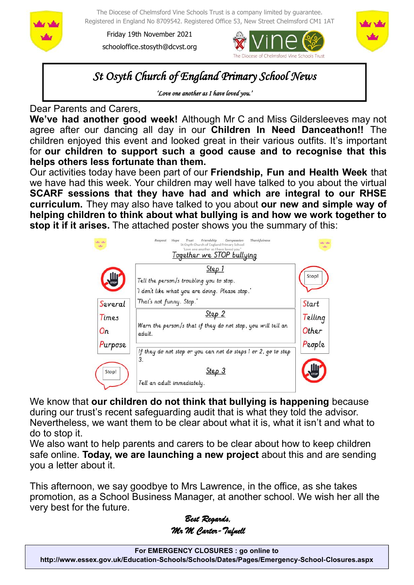

The Diocese of Chelmsford Vine Schools Trust is a company limited by guarantee. Registered in England No 8709542. Registered Office 53, New Street Chelmsford CM1 1AT

Friday 19th November 2021 schooloffice.stosyth@dcvst.org





*St Osyth Church of England Primary School News* 

*'Love one another as I have loved you.'* 

Dear Parents and Carers,

**We've had another good week!** Although Mr C and Miss Gildersleeves may not agree after our dancing all day in our **Children In Need Danceathon!!** The children enjoyed this event and looked great in their various outfits. It's important for **our children to support such a good cause and to recognise that this helps others less fortunate than them.**

Our activities today have been part of our **Friendship, Fun and Health Week** that we have had this week. Your children may well have talked to you about the virtual **SCARF sessions that they have had and which are integral to our RHSE curriculum.** They may also have talked to you about **our new and simple way of helping children to think about what bullying is and how we work together to stop it if it arises.** The attached poster shows you the summary of this:



We know that **our children do not think that bullying is happening** because during our trust's recent safeguarding audit that is what they told the advisor. Nevertheless, we want them to be clear about what it is, what it isn't and what to do to stop it.

We also want to help parents and carers to be clear about how to keep children safe online. **Today, we are launching a new project** about this and are sending you a letter about it.

This afternoon, we say goodbye to Mrs Lawrence, in the office, as she takes promotion, as a School Business Manager, at another school. We wish her all the very best for the future.

*Best Regards, Mr M Carter-Tufnell*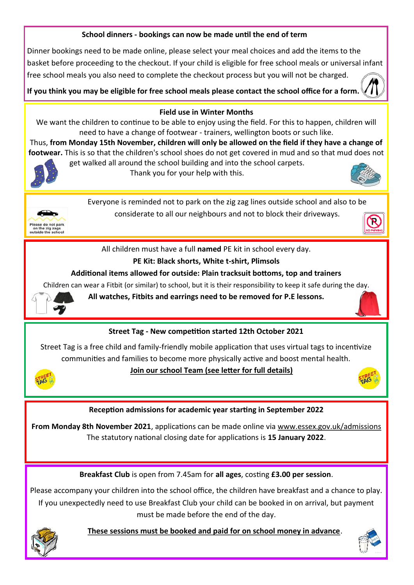## **School dinners - bookings can now be made until the end of term**

Dinner bookings need to be made online, please select your meal choices and add the items to the basket before proceeding to the checkout. If your child is eligible for free school meals or universal infant free school meals you also need to complete the checkout process but you will not be charged.

**If you think you may be eligible for free school meals please contact the school office for a form.** 



#### **Field use in Winter Months**

We want the children to continue to be able to enjoy using the field. For this to happen, children will need to have a change of footwear - trainers, wellington boots or such like.

Thus, **from Monday 15th November, children will only be allowed on the field if they have a change of footwear.** This is so that the children's school shoes do not get covered in mud and so that mud does not get walked all around the school building and into the school carpets.



Thank you for your help with this.





Everyone is reminded not to park on the zig zag lines outside school and also to be considerate to all our neighbours and not to block their driveways.

All children must have a full **named** PE kit in school every day.

# **PE Kit: Black shorts, White t-shirt, Plimsols**

## **Additional items allowed for outside: Plain tracksuit bottoms, top and trainers**

Children can wear a Fitbit (or similar) to school, but it is their responsibility to keep it safe during the day.



**All watches, Fitbits and earrings need to be removed for P.E lessons.**

# **Street Tag - New competition started 12th October 2021**

Street Tag is a free child and family-friendly mobile application that uses virtual tags to incentivize communities and families to become more physically active and boost mental health.



## **Join our school Team (see letter for full details)**



## **Reception admissions for academic year starting in September 2022**

**From Monday 8th November 2021**, applications can be made online via [www.essex.gov.uk/admissions](https://gbr01.safelinks.protection.outlook.com/?url=http%3A%2F%2Fwww.essex.gov.uk%2Fadmissions&data=04%7C01%7Cschooloffice.stosyth%40dcvst.org%7Cd9dfd22d78a64e7d492d08d9a046cdd1%7C282c78034b8f4fbda3841682df47e3ad%7C1%7C0%7C637717048224412247%7CUnknown%7CTWFpb)  The statutory national closing date for applications is **15 January 2022**.

**Breakfast Club** is open from 7.45am for **all ages**, costing **£3.00 per session**.

Please accompany your children into the school office, the children have breakfast and a chance to play. If you unexpectedly need to use Breakfast Club your child can be booked in on arrival, but payment must be made before the end of the day.



 **These sessions must be booked and paid for on school money in advance**.